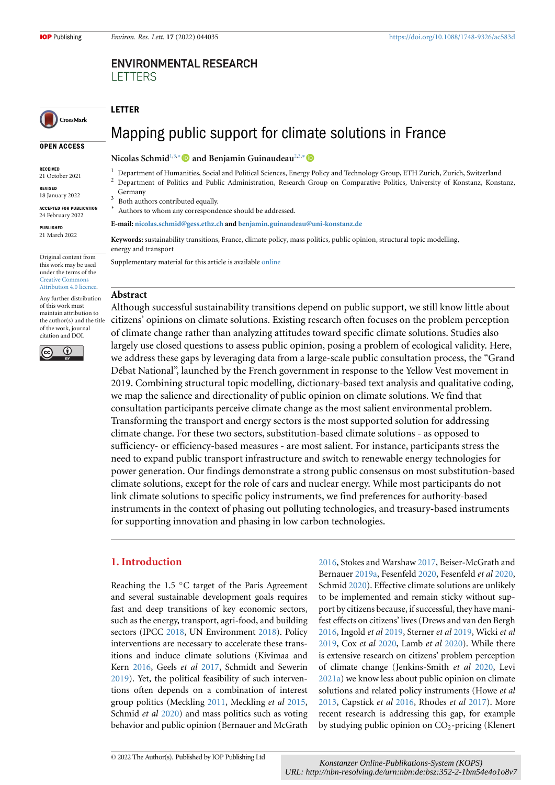**OPEN ACCESS**

Original content from this work may be used under the terms of the [Creative Commons](https://creativecommons.org/licenses/by/4.0/) [Attribution 4.0 licence](https://creativecommons.org/licenses/by/4.0/). Any further distribution of this work must maintain attribution to the author(s) and the title of the work, journal citation and DOI.

 $\odot$ 

(cc

**RECEIVED** 21 October 2021 **REVISED** 18 January 2022 **ACCEPTED FOR PUBLICATION** 24 February 2022 **PUBLISHED** 21 March 2022

# **ENVIRONMENTAL RESEARCH LETTERS**

#### **LETTER** CrossMark

# Mapping public support for climate solutions in France

#### Nicolas Schmid<sup>[1,](#page-0-0)[3,](#page-0-1)[∗](#page-0-2)</sup> and Benjamin Guinaudeau<sup>[2](#page-0-3),3,∗</sup> ■

- <sup>1</sup> Department of Humanities, Social and Political Sciences, Energy Policy and Technology Group, ETH Zurich, Zurich, Switzerland<br><sup>2</sup> Department of Politics and Public Administration, Research Group on Comparative Politics
- <span id="page-0-3"></span><span id="page-0-0"></span><sup>2</sup> Department of Politics and Public Administration, Research Group on Comparative Politics, University of Konstanz, Konstanz, Germany
- 3 Both authors contributed equally.
- <span id="page-0-2"></span><span id="page-0-1"></span>*∗* Authors to whom any correspondence should be addressed.

#### **E-mail: [nicolas.schmid@gess.ethz.ch](mailto:nicolas.schmid@gess.ethz.ch) and [benjamin.guinaudeau@uni-konstanz.de](mailto:benjamin.guinaudeau@uni-konstanz.de)**

**Keywords:** sustainability transitions, France, climate policy, mass politics, public opinion, structural topic modelling, energy and transport

Supplementary material for this article is available [online](http://doi.org/10.1088/1748-9326/ac583d)

#### **Abstract**

Although successful sustainability transitions depend on public support, we still know little about citizens' opinions on climate solutions. Existing research often focuses on the problem perception of climate change rather than analyzing attitudes toward specific climate solutions. Studies also largely use closed questions to assess public opinion, posing a problem of ecological validity. Here, we address these gaps by leveraging data from a large-scale public consultation process, the "Grand Débat National", launched by the French government in response to the Yellow Vest movement in 2019. Combining structural topic modelling, dictionary-based text analysis and qualitative coding, we map the salience and directionality of public opinion on climate solutions. We find that consultation participants perceive climate change as the most salient environmental problem. Transforming the transport and energy sectors is the most supported solution for addressing climate change. For these two sectors, substitution-based climate solutions - as opposed to sufficiency- or efficiency-based measures - are most salient. For instance, participants stress the need to expand public transport infrastructure and switch to renewable energy technologies for power generation. Our findings demonstrate a strong public consensus on most substitution-based climate solutions, except for the role of cars and nuclear energy. While most participants do not link climate solutions to specific policy instruments, we find preferences for authority-based instruments in the context of phasing out polluting technologies, and treasury-based instruments for supporting innovation and phasing in low carbon technologies.

#### **1. Introduction**

Reaching the 1.5 *◦*C target of the Paris Agreement and several sustainable development goals requires fast and deep transitions of key economic sectors, such as the energy, transport, agri-food, and building sectors (IPCC [2018,](#page-9-0) UN Environment [2018\)](#page-10-0). Policy interventions are necessary to accelerate these transitions and induce climate solutions (Kivimaa and Kern [2016,](#page-9-1) Geels *et al* [2017](#page-9-2), Schmidt and Sewerin [2019](#page-10-1)). Yet, the political feasibility of such interventions often depends on a combination of interest group politics (Meckling [2011,](#page-9-3) Meckling *et al* [2015,](#page-9-4) Schmid *et al* [2020](#page-9-5)) and mass politics such as voting behavior and public opinion (Bernauer and McGrath [2016](#page-8-0), Stokes and Warshaw [2017](#page-10-2), Beiser-McGrath and Bernauer [2019a,](#page-8-1) Fesenfeld [2020](#page-9-6), Fesenfeld *et al* [2020](#page-9-7), Schmid [2020](#page-9-8)). Effective climate solutions are unlikely to be implemented and remain sticky without support by citizens because, if successful, they have manifest effects on citizens' lives (Drews and van den Bergh [2016](#page-9-9), Ingold *et al* [2019](#page-9-10), Sterner *et al* [2019](#page-10-3), Wicki *et al* [2019](#page-10-4), Cox *et al* [2020](#page-9-11), Lamb *et al* [2020](#page-9-12)). While there is extensive research on citizens' problem perception of climate change (Jenkins-Smith *et al* [2020,](#page-9-13) Levi [2021a](#page-9-14)) we know less about public opinion on climate solutions and related policy instruments (Howe *et al* [2013](#page-9-15), Capstick *et al* [2016,](#page-8-2) Rhodes *et al* [2017\)](#page-9-16). More recent research is addressing this gap, for example by studying public opinion on  $CO<sub>2</sub>$ -pricing (Klenert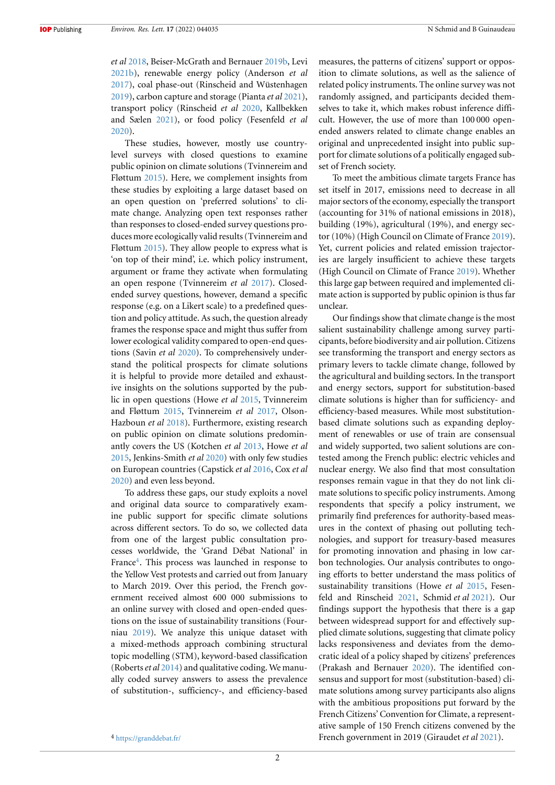*et al* [2018,](#page-9-17) Beiser-McGrath and Bernauer [2019b](#page-8-3), Levi [2021b](#page-9-18)), renewable energy policy (Anderson *et al* [2017](#page-8-4)), coal phase-out (Rinscheid and Wüstenhagen [2019](#page-9-19)), carbon capture and storage (Pianta *et al* [2021\)](#page-9-20), transport policy (Rinscheid *et al* [2020,](#page-9-21) Kallbekken and Sælen [2021\)](#page-9-22), or food policy (Fesenfeld *et al* [2020](#page-9-7)).

These studies, however, mostly use countrylevel surveys with closed questions to examine public opinion on climate solutions (Tvinnereim and Fløttum [2015](#page-10-5)). Here, we complement insights from these studies by exploiting a large dataset based on an open question on 'preferred solutions' to climate change. Analyzing open text responses rather than responses to closed-ended survey questions produces more ecologically valid results (Tvinnereim and Fløttum [2015\)](#page-10-5). They allow people to express what is 'on top of their mind', i.e. which policy instrument, argument or frame they activate when formulating an open respone (Tvinnereim *et al* [2017\)](#page-10-6). Closedended survey questions, however, demand a specific response (e.g. on a Likert scale) to a predefined question and policy attitude. As such, the question already frames the response space and might thus suffer from lower ecological validity compared to open-end questions (Savin *et al* [2020](#page-9-23)). To comprehensively understand the political prospects for climate solutions it is helpful to provide more detailed and exhaustive insights on the solutions supported by the public in open questions (Howe *et al* [2015](#page-9-24), Tvinnereim and Fløttum [2015,](#page-10-5) Tvinnereim *et al* [2017](#page-10-6), Olson-Hazboun *et al* [2018\)](#page-9-25). Furthermore, existing research on public opinion on climate solutions predominantly covers the US (Kotchen *et al* [2013,](#page-9-26) Howe *et al* [2015](#page-9-24), Jenkins-Smith *et al* [2020](#page-9-13)) with only few studies on European countries (Capstick *et al* [2016,](#page-8-2) Cox *et al* [2020](#page-9-11)) and even less beyond.

<span id="page-1-0"></span>To address these gaps, our study exploits a novel and original data source to comparatively examine public support for specific climate solutions across different sectors. To do so, we collected data from one of the largest public consultation processes worldwide, the 'Grand Débat National' in France<sup>[4](#page-1-0)</sup>. This process was launched in response to the Yellow Vest protests and carried out from January to March 2019. Over this period, the French government received almost 600 000 submissions to an online survey with closed and open-ended questions on the issue of sustainability transitions (Fourniau [2019](#page-9-27)). We analyze this unique dataset with a mixed-methods approach combining structural topic modelling (STM), keyword-based classification (Roberts*et al* [2014](#page-9-28)) and qualitative coding. We manually coded survey answers to assess the prevalence of substitution-, sufficiency-, and efficiency-based

measures, the patterns of citizens' support or opposition to climate solutions, as well as the salience of related policy instruments. The online survey was not randomly assigned, and participants decided themselves to take it, which makes robust inference difficult. However, the use of more than 100 000 openended answers related to climate change enables an original and unprecedented insight into public support for climate solutions of a politically engaged subset of French society.

To meet the ambitious climate targets France has set itself in 2017, emissions need to decrease in all major sectors of the economy, especially the transport (accounting for 31% of national emissions in 2018), building (19%), agricultural (19%), and energy sector (10%) (High Council on Climate of France [2019\)](#page-9-29). Yet, current policies and related emission trajectories are largely insufficient to achieve these targets (High Council on Climate of France [2019](#page-9-29)). Whether this large gap between required and implemented climate action is supported by public opinion is thus far unclear.

Our findings show that climate change is the most salient sustainability challenge among survey participants, before biodiversity and air pollution. Citizens see transforming the transport and energy sectors as primary levers to tackle climate change, followed by the agricultural and building sectors. In the transport and energy sectors, support for substitution-based climate solutions is higher than for sufficiency- and efficiency-based measures. While most substitutionbased climate solutions such as expanding deployment of renewables or use of train are consensual and widely supported, two salient solutions are contested among the French public: electric vehicles and nuclear energy. We also find that most consultation responses remain vague in that they do not link climate solutions to specific policy instruments. Among respondents that specify a policy instrument, we primarily find preferences for authority-based measures in the context of phasing out polluting technologies, and support for treasury-based measures for promoting innovation and phasing in low carbon technologies. Our analysis contributes to ongoing efforts to better understand the mass politics of sustainability transitions (Howe *et al* [2015](#page-9-24), Fesenfeld and Rinscheid [2021](#page-9-30), Schmid *et al* [2021\)](#page-9-31). Our findings support the hypothesis that there is a gap between widespread support for and effectively supplied climate solutions, suggesting that climate policy lacks responsiveness and deviates from the democratic ideal of a policy shaped by citizens' preferences (Prakash and Bernauer [2020](#page-9-32)). The identified consensus and support for most (substitution-based) climate solutions among survey participants also aligns with the ambitious propositions put forward by the French Citizens' Convention for Climate, a representative sample of 150 French citizens convened by the French government in 2019 (Giraudet *et al* [2021](#page-9-33)).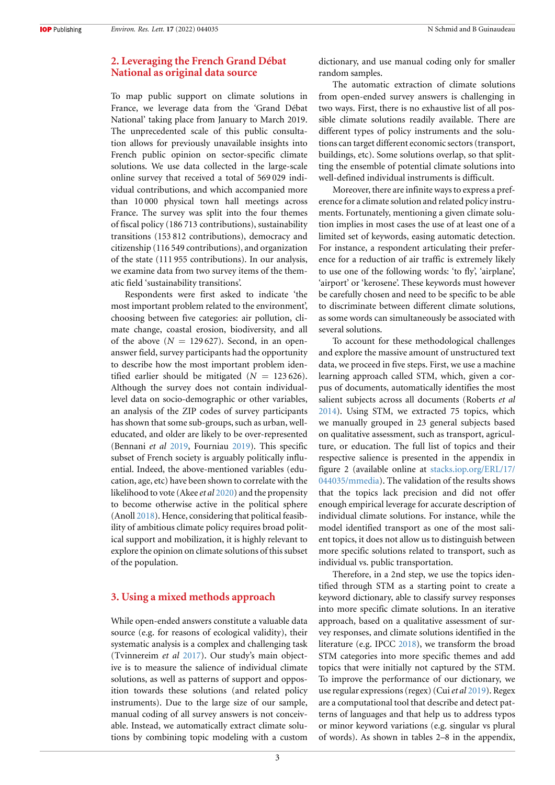# **2. Leveraging the French Grand Débat National as original data source**

To map public support on climate solutions in France, we leverage data from the 'Grand Débat National' taking place from January to March 2019. The unprecedented scale of this public consultation allows for previously unavailable insights into French public opinion on sector-specific climate solutions. We use data collected in the large-scale online survey that received a total of 569 029 individual contributions, and which accompanied more than 10 000 physical town hall meetings across France. The survey was split into the four themes of fiscal policy (186 713 contributions), sustainability transitions (153 812 contributions), democracy and citizenship (116 549 contributions), and organization of the state (111 955 contributions). In our analysis, we examine data from two survey items of the thematic field 'sustainability transitions'.

Respondents were first asked to indicate 'the most important problem related to the environment', choosing between five categories: air pollution, climate change, coastal erosion, biodiversity, and all of the above  $(N = 129627)$ . Second, in an openanswer field, survey participants had the opportunity to describe how the most important problem identified earlier should be mitigated  $(N = 123626)$ . Although the survey does not contain individuallevel data on socio-demographic or other variables, an analysis of the ZIP codes of survey participants has shown that some sub-groups, such as urban, welleducated, and older are likely to be over-represented (Bennani *et al* [2019,](#page-8-5) Fourniau [2019](#page-9-27)). This specific subset of French society is arguably politically influential. Indeed, the above-mentioned variables (education, age, etc) have been shown to correlate with the likelihood to vote (Akee *et al* [2020\)](#page-8-6) and the propensity to become otherwise active in the political sphere (Anoll [2018\)](#page-8-7). Hence, considering that political feasibility of ambitious climate policy requires broad political support and mobilization, it is highly relevant to explore the opinion on climate solutions of this subset of the population.

#### <span id="page-2-0"></span>**3. Using a mixed methods approach**

While open-ended answers constitute a valuable data source (e.g. for reasons of ecological validity), their systematic analysis is a complex and challenging task (Tvinnereim *et al* [2017](#page-10-6)). Our study's main objective is to measure the salience of individual climate solutions, as well as patterns of support and opposition towards these solutions (and related policy instruments). Due to the large size of our sample, manual coding of all survey answers is not conceivable. Instead, we automatically extract climate solutions by combining topic modeling with a custom dictionary, and use manual coding only for smaller random samples.

The automatic extraction of climate solutions from open-ended survey answers is challenging in two ways. First, there is no exhaustive list of all possible climate solutions readily available. There are different types of policy instruments and the solutions can target different economic sectors (transport, buildings, etc). Some solutions overlap, so that splitting the ensemble of potential climate solutions into well-defined individual instruments is difficult.

Moreover, there are infinite ways to express a preference for a climate solution and related policy instruments. Fortunately, mentioning a given climate solution implies in most cases the use of at least one of a limited set of keywords, easing automatic detection. For instance, a respondent articulating their preference for a reduction of air traffic is extremely likely to use one of the following words: 'to fly', 'airplane', 'airport' or 'kerosene'. These keywords must however be carefully chosen and need to be specific to be able to discriminate between different climate solutions, as some words can simultaneously be associated with several solutions.

To account for these methodological challenges and explore the massive amount of unstructured text data, we proceed in five steps. First, we use a machine learning approach called STM, which, given a corpus of documents, automatically identifies the most salient subjects across all documents (Roberts *et al* [2014](#page-9-28)). Using STM, we extracted 75 topics, which we manually grouped in 23 general subjects based on qualitative assessment, such as transport, agriculture, or education. The full list of topics and their respective salience is presented in the appendix in figure 2 (available online at [stacks.iop.org/ERL/17/](https://stacks.iop.org/ERL/17/044035/mmedia) [044035/mmedia\)](https://stacks.iop.org/ERL/17/044035/mmedia). The validation of the results shows that the topics lack precision and did not offer enough empirical leverage for accurate description of individual climate solutions. For instance, while the model identified transport as one of the most salient topics, it does not allow us to distinguish between more specific solutions related to transport, such as individual vs. public transportation.

Therefore, in a 2nd step, we use the topics identified through STM as a starting point to create a keyword dictionary, able to classify survey responses into more specific climate solutions. In an iterative approach, based on a qualitative assessment of survey responses, and climate solutions identified in the literature (e.g. IPCC [2018\)](#page-9-0), we transform the broad STM categories into more specific themes and add topics that were initially not captured by the STM. To improve the performance of our dictionary, we use regular expressions (regex) (Cui*et al* [2019](#page-9-34)). Regex are a computational tool that describe and detect patterns of languages and that help us to address typos or minor keyword variations (e.g. singular vs plural of words). As shown in tables 2–8 in the appendix,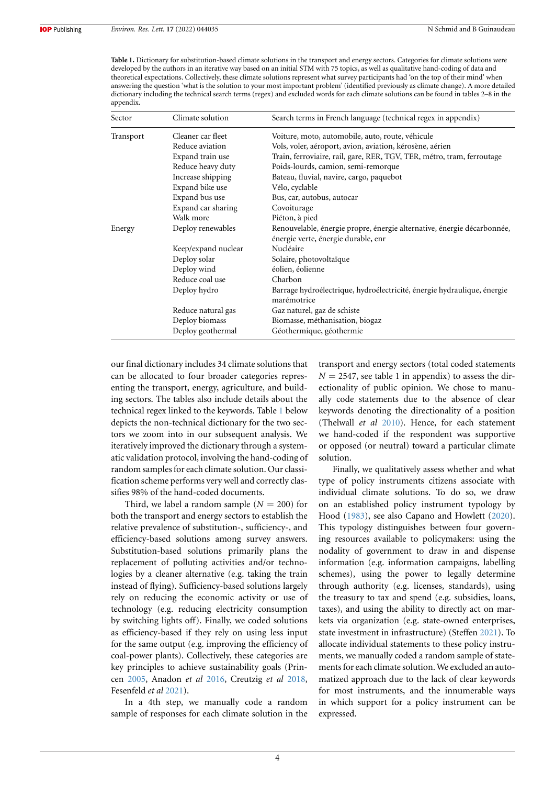<span id="page-3-0"></span>**Table 1.** Dictionary for substitution-based climate solutions in the transport and energy sectors. Categories for climate solutions were developed by the authors in an iterative way based on an initial STM with 75 topics, as well as qualitative hand-coding of data and theoretical expectations. Collectively, these climate solutions represent what survey participants had 'on the top of their mind' when answering the question 'what is the solution to your most important problem' (identified previously as climate change). A more detailed dictionary including the technical search terms (regex) and excluded words for each climate solutions can be found in tables 2–8 in the appendix.

| Sector    | Climate solution    | Search terms in French language (technical regex in appendix)                                                  |
|-----------|---------------------|----------------------------------------------------------------------------------------------------------------|
| Transport | Cleaner car fleet   | Voiture, moto, automobile, auto, route, véhicule                                                               |
|           | Reduce aviation     | Vols, voler, aéroport, avion, aviation, kérosène, aérien                                                       |
|           | Expand train use    | Train, ferroviaire, rail, gare, RER, TGV, TER, métro, tram, ferroutage                                         |
|           | Reduce heavy duty   | Poids-lourds, camion, semi-remorque                                                                            |
|           | Increase shipping   | Bateau, fluvial, navire, cargo, paquebot                                                                       |
|           | Expand bike use     | Vélo, cyclable                                                                                                 |
|           | Expand bus use      | Bus, car, autobus, autocar                                                                                     |
|           | Expand car sharing  | Covoiturage                                                                                                    |
|           | Walk more           | Piéton, à pied                                                                                                 |
| Energy    | Deploy renewables   | Renouvelable, énergie propre, énergie alternative, énergie décarbonnée,<br>énergie verte, énergie durable, enr |
|           | Keep/expand nuclear | Nucléaire                                                                                                      |
|           | Deploy solar        | Solaire, photovoltaïque                                                                                        |
|           | Deploy wind         | éolien, éolienne                                                                                               |
|           | Reduce coal use     | Charbon                                                                                                        |
|           | Deploy hydro        | Barrage hydroélectrique, hydroélectricité, énergie hydraulique, énergie<br>marémotrice                         |
|           | Reduce natural gas  | Gaz naturel, gaz de schiste                                                                                    |
|           | Deploy biomass      | Biomasse, méthanisation, biogaz                                                                                |
|           | Deploy geothermal   | Géothermique, géothermie                                                                                       |

our final dictionary includes 34 climate solutions that can be allocated to four broader categories representing the transport, energy, agriculture, and building sectors. The tables also include details about the technical regex linked to the keywords. Table [1](#page-3-0) below depicts the non-technical dictionary for the two sectors we zoom into in our subsequent analysis. We iteratively improved the dictionary through a systematic validation protocol, involving the hand-coding of random samples for each climate solution. Our classification scheme performs very well and correctly classifies 98% of the hand-coded documents.

Third, we label a random sample  $(N = 200)$  for both the transport and energy sectors to establish the relative prevalence of substitution-, sufficiency-, and efficiency-based solutions among survey answers. Substitution-based solutions primarily plans the replacement of polluting activities and/or technologies by a cleaner alternative (e.g. taking the train instead of flying). Sufficiency-based solutions largely rely on reducing the economic activity or use of technology (e.g. reducing electricity consumption by switching lights off). Finally, we coded solutions as efficiency-based if they rely on using less input for the same output (e.g. improving the efficiency of coal-power plants). Collectively, these categories are key principles to achieve sustainability goals (Princen [2005](#page-9-35), Anadon *et al* [2016,](#page-8-8) Creutzig *et al* [2018,](#page-9-36) Fesenfeld *et al* [2021\)](#page-9-37).

In a 4th step, we manually code a random sample of responses for each climate solution in the transport and energy sectors (total coded statements  $N = 2547$ , see table 1 in appendix) to assess the directionality of public opinion. We chose to manually code statements due to the absence of clear keywords denoting the directionality of a position (Thelwall *et al* [2010](#page-10-7)). Hence, for each statement we hand-coded if the respondent was supportive or opposed (or neutral) toward a particular climate solution.

Finally, we qualitatively assess whether and what type of policy instruments citizens associate with individual climate solutions. To do so, we draw on an established policy instrument typology by Hood [\(1983](#page-9-38)), see also Capano and Howlett [\(2020\)](#page-8-9). This typology distinguishes between four governing resources available to policymakers: using the nodality of government to draw in and dispense information (e.g. information campaigns, labelling schemes), using the power to legally determine through authority (e.g. licenses, standards), using the treasury to tax and spend (e.g. subsidies, loans, taxes), and using the ability to directly act on markets via organization (e.g. state-owned enterprises, state investment in infrastructure) (Steffen [2021](#page-10-8)). To allocate individual statements to these policy instruments, we manually coded a random sample of statements for each climate solution. We excluded an automatized approach due to the lack of clear keywords for most instruments, and the innumerable ways in which support for a policy instrument can be expressed.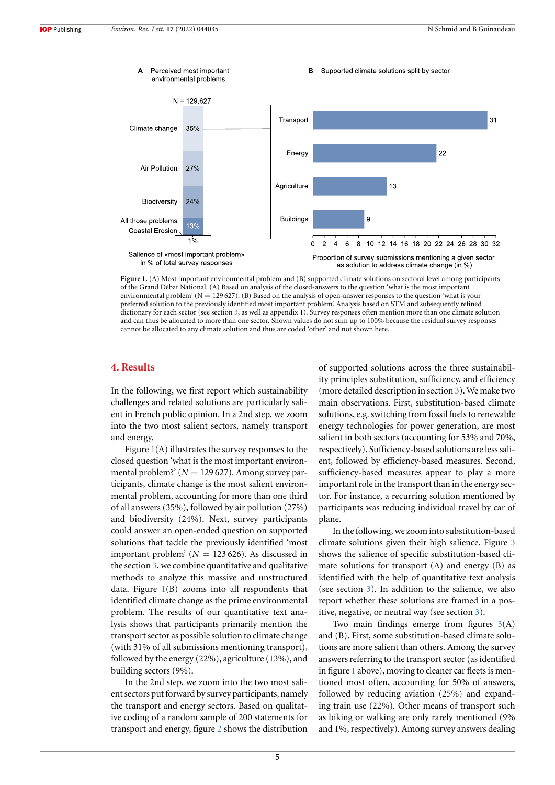<span id="page-4-0"></span>

of the Grand Débat National. (A) Based on analysis of the closed-answers to the question 'what is the most important environmental problem' (N = 129 627). (B) Based on the analysis of open-answer responses to the question 'what is your preferred solution to the previously identified most important problem'. Analysis based on STM and subsequently refined dictionary for each sector (see section [3](#page-2-0), as well as appendix 1). Survey responses often mention more than one climate solution and can thus be allocated to more than one sector. Shown values do not sum up to 100% because the residual survey responses cannot be allocated to any climate solution and thus are coded 'other' and not shown here.

## **4. Results**

In the following, we first report which sustainability challenges and related solutions are particularly salient in French public opinion. In a 2nd step, we zoom into the two most salient sectors, namely transport and energy.

Figure  $1(A)$  $1(A)$  illustrates the survey responses to the closed question 'what is the most important environmental problem?'  $(N = 129627)$ . Among survey participants, climate change is the most salient environmental problem, accounting for more than one third of all answers (35%), followed by air pollution (27%) and biodiversity (24%). Next, survey participants could answer an open-ended question on supported solutions that tackle the previously identified 'most important problem'  $(N = 123626)$ . As discussed in the section [3](#page-2-0), we combine quantitative and qualitative methods to analyze this massive and unstructured data. Figure  $1(B)$  $1(B)$  zooms into all respondents that identified climate change as the prime environmental problem. The results of our quantitative text analysis shows that participants primarily mention the transport sector as possible solution to climate change (with 31% of all submissions mentioning transport), followed by the energy (22%), agriculture (13%), and building sectors (9%).

In the 2nd step, we zoom into the two most salient sectors put forward by survey participants, namely the transport and energy sectors. Based on qualitative coding of a random sample of 200 statements for transport and energy, figure [2](#page-5-0) shows the distribution

of supported solutions across the three sustainability principles substitution, sufficiency, and efficiency (more detailed description in section [3\)](#page-2-0). We make two main observations. First, substitution-based climate solutions, e.g. switching from fossil fuels to renewable energy technologies for power generation, are most salient in both sectors (accounting for 53% and 70%, respectively). Sufficiency-based solutions are less salient, followed by efficiency-based measures. Second, sufficiency-based measures appear to play a more important role in the transport than in the energy sector. For instance, a recurring solution mentioned by participants was reducing individual travel by car of plane.

In the following, we zoom into substitution-based climate solutions given their high salience. Figure [3](#page-6-0) shows the salience of specific substitution-based climate solutions for transport (A) and energy (B) as identified with the help of quantitative text analysis (see section [3\)](#page-2-0). In addition to the salience, we also report whether these solutions are framed in a positive, negative, or neutral way (see section [3\)](#page-2-0).

Two main findings emerge from figures  $3(A)$  $3(A)$ and (B). First, some substitution-based climate solutions are more salient than others. Among the survey answers referring to the transport sector (as identified in figure [1](#page-4-0) above), moving to cleaner car fleets is mentioned most often, accounting for 50% of answers, followed by reducing aviation (25%) and expanding train use (22%). Other means of transport such as biking or walking are only rarely mentioned (9% and 1%, respectively). Among survey answers dealing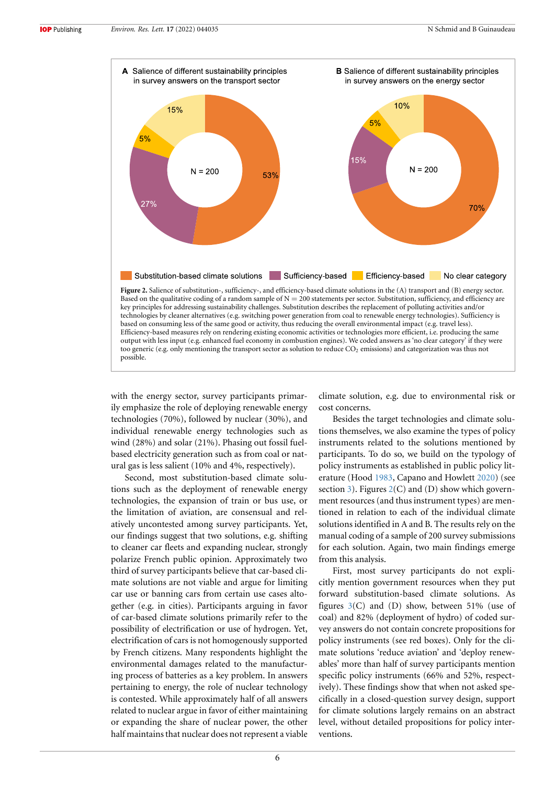<span id="page-5-0"></span>

with the energy sector, survey participants primarily emphasize the role of deploying renewable energy technologies (70%), followed by nuclear (30%), and individual renewable energy technologies such as wind (28%) and solar (21%). Phasing out fossil fuelbased electricity generation such as from coal or natural gas is less salient (10% and 4%, respectively).

Second, most substitution-based climate solutions such as the deployment of renewable energy technologies, the expansion of train or bus use, or the limitation of aviation, are consensual and relatively uncontested among survey participants. Yet, our findings suggest that two solutions, e.g. shifting to cleaner car fleets and expanding nuclear, strongly polarize French public opinion. Approximately two third of survey participants believe that car-based climate solutions are not viable and argue for limiting car use or banning cars from certain use cases altogether (e.g. in cities). Participants arguing in favor of car-based climate solutions primarily refer to the possibility of electrification or use of hydrogen. Yet, electrification of cars is not homogenously supported by French citizens. Many respondents highlight the environmental damages related to the manufacturing process of batteries as a key problem. In answers pertaining to energy, the role of nuclear technology is contested. While approximately half of all answers related to nuclear argue in favor of either maintaining or expanding the share of nuclear power, the other half maintains that nuclear does not represent a viable climate solution, e.g. due to environmental risk or cost concerns.

Besides the target technologies and climate solutions themselves, we also examine the types of policy instruments related to the solutions mentioned by participants. To do so, we build on the typology of policy instruments as established in public policy literature (Hood [1983](#page-9-38), Capano and Howlett [2020\)](#page-8-9) (see section [3](#page-2-0)). Figures  $2(C)$  $2(C)$  and  $(D)$  show which government resources (and thus instrument types) are mentioned in relation to each of the individual climate solutions identified in A and B. The results rely on the manual coding of a sample of 200 survey submissions for each solution. Again, two main findings emerge from this analysis.

First, most survey participants do not explicitly mention government resources when they put forward substitution-based climate solutions. As figures  $3(C)$  $3(C)$  and  $(D)$  show, between  $51\%$  (use of coal) and 82% (deployment of hydro) of coded survey answers do not contain concrete propositions for policy instruments (see red boxes). Only for the climate solutions 'reduce aviation' and 'deploy renewables' more than half of survey participants mention specific policy instruments (66% and 52%, respectively). These findings show that when not asked specifically in a closed-question survey design, support for climate solutions largely remains on an abstract level, without detailed propositions for policy interventions.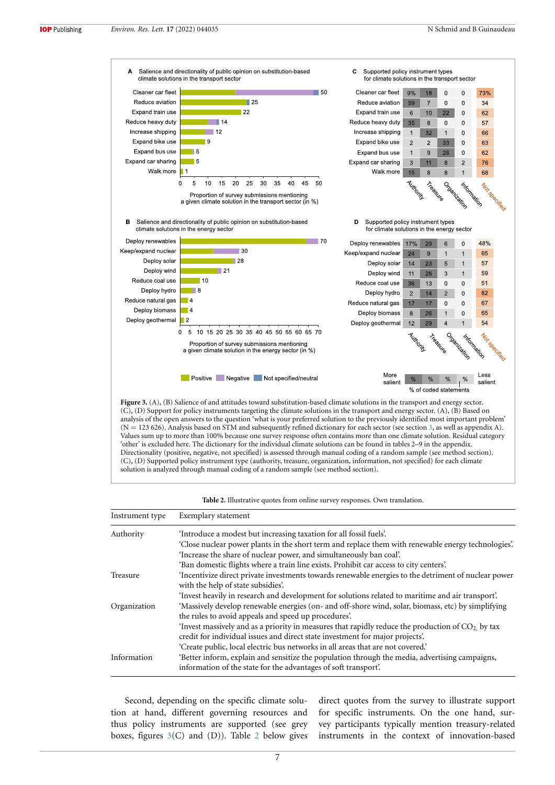<span id="page-6-0"></span>

(C), (D) Support for policy instruments targeting the climate solutions in the transport and energy sector. (A), (B) Based on analysis of the open answers to the question 'what is your preferred solution to the previously identified most important problem' (N = 123 626). Analysis based on STM and subsequently refined dictionary for each sector (see section [3,](#page-2-0) as well as appendix A). Values sum up to more than 100% because one survey response often contains more than one climate solution. Residual category 'other' is excluded here. The dictionary for the individual climate solutions can be found in tables 2–9 in the appendix. Directionality (positive, negative, not specified) is assessed through manual coding of a random sample (see method section). (C), (D) Supported policy instrument type (authority, treasure, organization, information, not specified) for each climate solution is analyzed through manual coding of a random sample (see method section).

**Table 2.** Illustrative quotes from online survey responses. Own translation.

<span id="page-6-1"></span>

| Instrument type | Exemplary statement                                                                                                                                               |  |
|-----------------|-------------------------------------------------------------------------------------------------------------------------------------------------------------------|--|
| Authority       | 'Introduce a modest but increasing taxation for all fossil fuels'.                                                                                                |  |
|                 | 'Close nuclear power plants in the short term and replace them with renewable energy technologies'.                                                               |  |
|                 | 'Increase the share of nuclear power, and simultaneously ban coal'.                                                                                               |  |
|                 | 'Ban domestic flights where a train line exists. Prohibit car access to city centers'.                                                                            |  |
| <b>Treasure</b> | 'Incentivize direct private investments towards renewable energies to the detriment of nuclear power<br>with the help of state subsidies.                         |  |
|                 | 'Invest heavily in research and development for solutions related to maritime and air transport'.                                                                 |  |
| Organization    | 'Massively develop renewable energies (on- and off-shore wind, solar, biomass, etc) by simplifying<br>the rules to avoid appeals and speed up procedures'.        |  |
|                 | 'Invest massively and as a priority in measures that rapidly reduce the production of $CO2$ , by tax                                                              |  |
|                 | credit for individual issues and direct state investment for major projects'.                                                                                     |  |
|                 | 'Create public, local electric bus networks in all areas that are not covered.'                                                                                   |  |
| Information     | 'Better inform, explain and sensitize the population through the media, advertising campaigns,<br>information of the state for the advantages of soft transport'. |  |

Second, depending on the specific climate solution at hand, different governing resources and thus policy instruments are supported (see grey boxes, figures  $3(C)$  $3(C)$  and  $(D)$ ). Table [2](#page-6-1) below gives direct quotes from the survey to illustrate support for specific instruments. On the one hand, survey participants typically mention treasury-related instruments in the context of innovation-based

7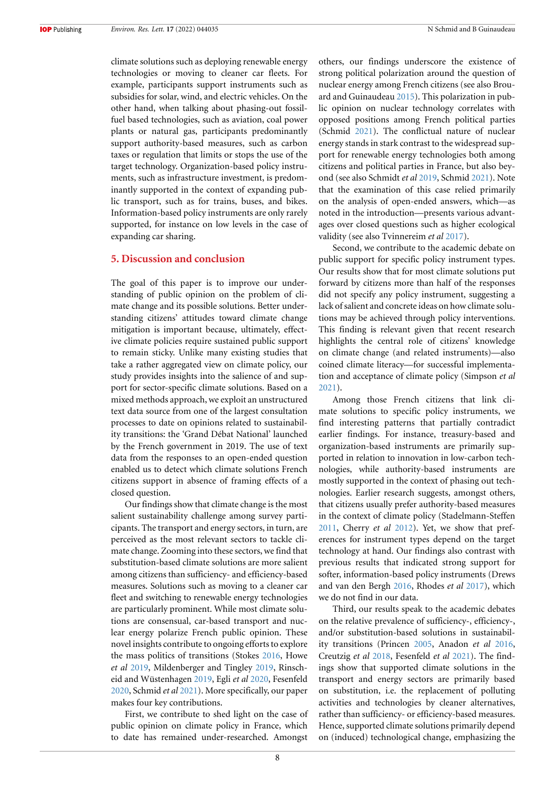climate solutions such as deploying renewable energy technologies or moving to cleaner car fleets. For example, participants support instruments such as subsidies for solar, wind, and electric vehicles. On the other hand, when talking about phasing-out fossilfuel based technologies, such as aviation, coal power plants or natural gas, participants predominantly support authority-based measures, such as carbon taxes or regulation that limits or stops the use of the target technology. Organization-based policy instruments, such as infrastructure investment, is predominantly supported in the context of expanding public transport, such as for trains, buses, and bikes. Information-based policy instruments are only rarely supported, for instance on low levels in the case of expanding car sharing.

## **5. Discussion and conclusion**

The goal of this paper is to improve our understanding of public opinion on the problem of climate change and its possible solutions. Better understanding citizens' attitudes toward climate change mitigation is important because, ultimately, effective climate policies require sustained public support to remain sticky. Unlike many existing studies that take a rather aggregated view on climate policy, our study provides insights into the salience of and support for sector-specific climate solutions. Based on a mixed methods approach, we exploit an unstructured text data source from one of the largest consultation processes to date on opinions related to sustainability transitions: the 'Grand Débat National' launched by the French government in 2019. The use of text data from the responses to an open-ended question enabled us to detect which climate solutions French citizens support in absence of framing effects of a closed question.

Our findings show that climate change is the most salient sustainability challenge among survey participants. The transport and energy sectors, in turn, are perceived as the most relevant sectors to tackle climate change. Zooming into these sectors, we find that substitution-based climate solutions are more salient among citizens than sufficiency- and efficiency-based measures. Solutions such as moving to a cleaner car fleet and switching to renewable energy technologies are particularly prominent. While most climate solutions are consensual, car-based transport and nuclear energy polarize French public opinion. These novel insights contribute to ongoing efforts to explore the mass politics of transitions (Stokes [2016,](#page-10-9) Howe *et al* [2019](#page-9-39), Mildenberger and Tingley [2019](#page-9-40), Rinscheid and Wüstenhagen [2019](#page-9-19), Egli *et al* [2020,](#page-9-41) Fesenfeld [2020](#page-9-6), Schmid *et al* [2021](#page-9-31)). More specifically, our paper makes four key contributions.

First, we contribute to shed light on the case of public opinion on climate policy in France, which to date has remained under-researched. Amongst

others, our findings underscore the existence of strong political polarization around the question of nuclear energy among French citizens (see also Brouard and Guinaudeau [2015\)](#page-8-10). This polarization in public opinion on nuclear technology correlates with opposed positions among French political parties (Schmid [2021](#page-9-42)). The conflictual nature of nuclear energy stands in stark contrast to the widespread support for renewable energy technologies both among citizens and political parties in France, but also beyond (see also Schmidt *et al* [2019,](#page-9-43) Schmid [2021](#page-9-42)). Note that the examination of this case relied primarily on the analysis of open-ended answers, which—as noted in the introduction—presents various advantages over closed questions such as higher ecological validity (see also Tvinnereim *et al* [2017](#page-10-6)).

Second, we contribute to the academic debate on public support for specific policy instrument types. Our results show that for most climate solutions put forward by citizens more than half of the responses did not specify any policy instrument, suggesting a lack of salient and concrete ideas on how climate solutions may be achieved through policy interventions. This finding is relevant given that recent research highlights the central role of citizens' knowledge on climate change (and related instruments)—also coined climate literacy—for successful implementation and acceptance of climate policy (Simpson *et al* [2021](#page-10-10)).

Among those French citizens that link climate solutions to specific policy instruments, we find interesting patterns that partially contradict earlier findings. For instance, treasury-based and organization-based instruments are primarily supported in relation to innovation in low-carbon technologies, while authority-based instruments are mostly supported in the context of phasing out technologies. Earlier research suggests, amongst others, that citizens usually prefer authority-based measures in the context of climate policy (Stadelmann-Steffen [2011](#page-10-11), Cherry *et al* [2012\)](#page-8-11). Yet, we show that preferences for instrument types depend on the target technology at hand. Our findings also contrast with previous results that indicated strong support for softer, information-based policy instruments (Drews and van den Bergh [2016](#page-9-9), Rhodes *et al* [2017](#page-9-16)), which we do not find in our data.

Third, our results speak to the academic debates on the relative prevalence of sufficiency-, efficiency-, and/or substitution-based solutions in sustainability transitions (Princen [2005](#page-9-35), Anadon *et al* [2016](#page-8-8), Creutzig *et al* [2018,](#page-9-36) Fesenfeld *et al* [2021\)](#page-9-37). The findings show that supported climate solutions in the transport and energy sectors are primarily based on substitution, i.e. the replacement of polluting activities and technologies by cleaner alternatives, rather than sufficiency- or efficiency-based measures. Hence, supported climate solutions primarily depend on (induced) technological change, emphasizing the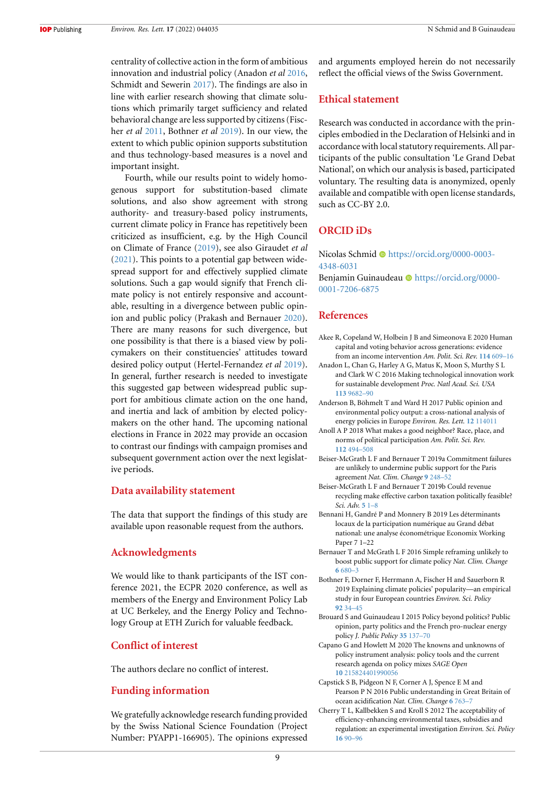centrality of collective action in the form of ambitious innovation and industrial policy (Anadon *et al* [2016,](#page-8-8) Schmidt and Sewerin [2017\)](#page-9-44). The findings are also in line with earlier research showing that climate solutions which primarily target sufficiency and related behavioral change are less supported by citizens (Fischer *et al* [2011,](#page-9-45) Bothner *et al* [2019\)](#page-8-12). In our view, the extent to which public opinion supports substitution and thus technology-based measures is a novel and important insight.

Fourth, while our results point to widely homogenous support for substitution-based climate solutions, and also show agreement with strong authority- and treasury-based policy instruments, current climate policy in France has repetitively been criticized as insufficient, e.g. by the High Council on Climate of France([2019](#page-9-29)), see also Giraudet *et al* ([2021\)](#page-9-33). This points to a potential gap between widespread support for and effectively supplied climate solutions. Such a gap would signify that French climate policy is not entirely responsive and accountable, resulting in a divergence between public opinion and public policy (Prakash and Bernauer [2020\)](#page-9-32). There are many reasons for such divergence, but one possibility is that there is a biased view by policymakers on their constituencies' attitudes toward desired policy output (Hertel-Fernandez *et al* [2019\)](#page-9-46). In general, further research is needed to investigate this suggested gap between widespread public support for ambitious climate action on the one hand, and inertia and lack of ambition by elected policymakers on the other hand. The upcoming national elections in France in 2022 may provide an occasion to contrast our findings with campaign promises and subsequent government action over the next legislative periods.

#### **Data availability statement**

The data that support the findings of this study are available upon reasonable request from the authors.

# **Acknowledgments**

We would like to thank participants of the IST conference 2021, the ECPR 2020 conference, as well as members of the Energy and Environment Policy Lab at UC Berkeley, and the Energy Policy and Technology Group at ETH Zurich for valuable feedback.

## **Conflict of interest**

The authors declare no conflict of interest.

#### **Funding information**

We gratefully acknowledge research funding provided by the Swiss National Science Foundation (Project Number: PYAPP1-166905). The opinions expressed and arguments employed herein do not necessarily reflect the official views of the Swiss Government.

## **Ethical statement**

Research was conducted in accordance with the principles embodied in the Declaration of Helsinki and in accordance with local statutory requirements. All participants of the public consultation 'Le Grand Debat National', on which our analysis is based, participated voluntary. The resulting data is anonymized, openly available and compatible with open license standards, such as CC-BY 2.0.

# **ORCID iDs**

Nicolas Schmid · [https://orcid.org/0000-0003-](https://orcid.org/0000-0003-4348-6031) [4348-6031](https://orcid.org/0000-0003-4348-6031)

Benjamin Guinaudeau **I** [https://orcid.org/0000-](https://orcid.org/0000-0001-7206-6875) [0001-7206-6875](https://orcid.org/0000-0001-7206-6875)

#### **References**

- <span id="page-8-6"></span>Akee R, Copeland W, Holbein J B and Simeonova E 2020 Human capital and voting behavior across generations: evidence from an income intervention *Am. Polit. Sci. Rev.* **[114](https://doi.org/10.1017/S000305541900090X)** [609–16](https://doi.org/10.1017/S000305541900090X)
- <span id="page-8-8"></span>Anadon L, Chan G, Harley A G, Matus K, Moon S, Murthy S L and Clark W C 2016 Making technological innovation work for sustainable development *Proc. Natl Acad. Sci. USA* **[113](https://doi.org/10.1073/pnas.1525004113)** [9682–90](https://doi.org/10.1073/pnas.1525004113)
- <span id="page-8-4"></span>Anderson B, Böhmelt T and Ward H 2017 Public opinion and environmental policy output: a cross-national analysis of energy policies in Europe *Environ. Res. Lett.* **[12](https://doi.org/10.1088/1748-9326/aa8f80)** [114011](https://doi.org/10.1088/1748-9326/aa8f80)
- <span id="page-8-7"></span>Anoll A P 2018 What makes a good neighbor? Race, place, and norms of political participation *Am. Polit. Sci. Rev.* **[112](https://doi.org/10.1017/S0003055418000175)** [494–508](https://doi.org/10.1017/S0003055418000175)
- <span id="page-8-1"></span>Beiser-McGrath L F and Bernauer T 2019a Commitment failures are unlikely to undermine public support for the Paris agreement *Nat. Clim. Change* **[9](https://doi.org/10.1038/s41558-019-0414-z)** [248–52](https://doi.org/10.1038/s41558-019-0414-z)
- <span id="page-8-3"></span>Beiser-McGrath L F and Bernauer T 2019b Could revenue recycling make effective carbon taxation politically feasible? *Sci. Adv.* **[5](https://doi.org/10.1126/sciadv.aax3323)** [1–8](https://doi.org/10.1126/sciadv.aax3323)
- <span id="page-8-5"></span>Bennani H, Gandré P and Monnery B 2019 Les déterminants locaux de la participation numérique au Grand débat national: une analyse économétrique Economix Working Paper 7 1–22
- <span id="page-8-0"></span>Bernauer T and McGrath L F 2016 Simple reframing unlikely to boost public support for climate policy *Nat. Clim. Change* **[6](https://doi.org/10.1038/nclimate2948)** [680–3](https://doi.org/10.1038/nclimate2948)
- <span id="page-8-12"></span>Bothner F, Dorner F, Herrmann A, Fischer H and Sauerborn R 2019 Explaining climate policies' popularity—an empirical study in four European countries *Environ. Sci. Policy* **[92](https://doi.org/10.1016/j.envsci.2018.10.009)** [34–45](https://doi.org/10.1016/j.envsci.2018.10.009)
- <span id="page-8-10"></span>Brouard S and Guinaudeau I 2015 Policy beyond politics? Public opinion, party politics and the French pro-nuclear energy policy *J. Public Policy* **[35](https://doi.org/10.1017/S0143814X14000221)** [137–70](https://doi.org/10.1017/S0143814X14000221)
- <span id="page-8-9"></span>Capano G and Howlett M 2020 The knowns and unknowns of policy instrument analysis: policy tools and the current research agenda on policy mixes *SAGE Open* **[10](https://doi.org/10.1177/2158244019900568)** [215824401990056](https://doi.org/10.1177/2158244019900568)
- <span id="page-8-2"></span>Capstick S B, Pidgeon N F, Corner A J, Spence E M and Pearson P N 2016 Public understanding in Great Britain of ocean acidification *Nat. Clim. Change* **[6](https://doi.org/10.1038/nclimate3005)** [763–7](https://doi.org/10.1038/nclimate3005)
- <span id="page-8-11"></span>Cherry T L, Kallbekken S and Kroll S 2012 The acceptability of efficiency-enhancing environmental taxes, subsidies and regulation: an experimental investigation *Environ. Sci. Policy* **[16](https://doi.org/10.1016/j.envsci.2011.11.007)** [90–96](https://doi.org/10.1016/j.envsci.2011.11.007)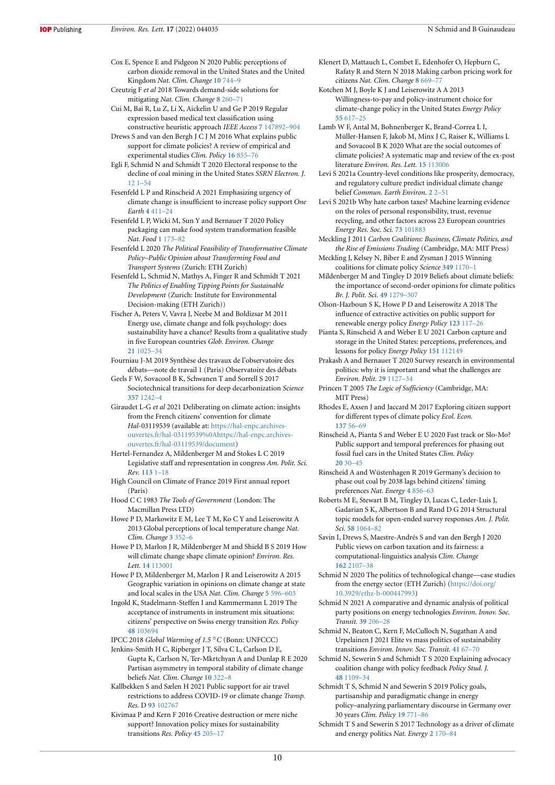<span id="page-9-11"></span>Cox E, Spence E and Pidgeon N 2020 Public perceptions of carbon dioxide removal in the United States and the United Kingdom *Nat. Clim. Change* **[10](https://doi.org/10.1038/s41558-020-0823-z)** [744–9](https://doi.org/10.1038/s41558-020-0823-z)

<span id="page-9-36"></span>Creutzig F *et al* 2018 Towards demand-side solutions for mitigating *Nat. Clim. Change* **[8](https://doi.org/10.1038/s41558-018-0121-1)** [260–71](https://doi.org/10.1038/s41558-018-0121-1) Cui M, Bai R, Lu Z, Li X, Aickelin U and Ge P 2019 Regular

- <span id="page-9-34"></span>expression based medical text classification using constructive heuristic approach *IEEE Access* **[7](https://doi.org/10.1109/ACCESS.2019.2946622)** [147892–904](https://doi.org/10.1109/ACCESS.2019.2946622)
- <span id="page-9-9"></span>Drews S and van den Bergh J C J M 2016 What explains public support for climate policies? A review of empirical and experimental studies *Clim. Policy* **[16](https://doi.org/10.1080/14693062.2015.1058240)** [855–76](https://doi.org/10.1080/14693062.2015.1058240)

<span id="page-9-41"></span>Egli F, Schmid N and Schmidt T 2020 Electoral response to the decline of coal mining in the United States *SSRN Electron. J.* [12](https://doi.org/10.2139/ssrn.3710589) [1–54](https://doi.org/10.2139/ssrn.3710589)

<span id="page-9-30"></span>Fesenfeld L P and Rinscheid A 2021 Emphasizing urgency of climate change is insufficient to increase policy support *One Earth* **[4](https://doi.org/10.1016/j.oneear.2021.02.010)** [411–24](https://doi.org/10.1016/j.oneear.2021.02.010)

<span id="page-9-7"></span>Fesenfeld L P, Wicki M, Sun Y and Bernauer T 2020 Policy packaging can make food system transformation feasible *Nat. Food* **[1](https://doi.org/10.1038/s43016-020-0047-4)** [173–82](https://doi.org/10.1038/s43016-020-0047-4)

<span id="page-9-6"></span>Fesenfeld L 2020 *The Political Feasibility of Transformative Climate Policy–Public Opinion about Transforming Food and Transport Systems* (Zurich: ETH Zurich)

<span id="page-9-37"></span>Fesenfeld L, Schmid N, Mathys A, Finger R and Schmidt T 2021 *The Politics of Enabling Tipping Points for Sustainable Development* (Zurich: Institute for Environmental Decision-making (ETH Zurich))

<span id="page-9-45"></span>Fischer A, Peters V, Vavra J, Neebe M and Boldizsar M 2011 Energy use, climate change and folk psychology: does sustainability have a chance? Results from a qualitative study in five European countries *Glob. Environ. Change* **[21](https://doi.org/10.1016/j.gloenvcha.2011.04.008)** [1025–34](https://doi.org/10.1016/j.gloenvcha.2011.04.008)

<span id="page-9-27"></span>Fourniau J-M 2019 Synthèse des travaux de l'observatoire des débats—note de travail 1 (Paris) Observatoire des débats

<span id="page-9-2"></span>Geels F W, Sovacool B K, Schwanen T and Sorrell S 2017 Sociotechnical transitions for deep decarbonization *Science* **[357](https://doi.org/10.1126/science.aao3760)** [1242–4](https://doi.org/10.1126/science.aao3760)

<span id="page-9-33"></span>Giraudet L-G *et al* 2021 Deliberating on climate action: insights from the French citizens' convention for climate *Hal-*03119539 (available at: [https://hal-enpc.archives](https://hal-enpc.archives-ouvertes.fr/hal-03119539%250Ahttps://hal-enpc.archives-ouvertes.fr/hal-03119539/document)[ouvertes.fr/hal-03119539%0Ahttps://hal-enpc.archives](https://hal-enpc.archives-ouvertes.fr/hal-03119539%250Ahttps://hal-enpc.archives-ouvertes.fr/hal-03119539/document)[ouvertes.fr/hal-03119539/document](https://hal-enpc.archives-ouvertes.fr/hal-03119539%250Ahttps://hal-enpc.archives-ouvertes.fr/hal-03119539/document))

<span id="page-9-46"></span>Hertel-Fernandez A, Mildenberger M and Stokes L C 2019 Legislative staff and representation in congress *Am. Polit. Sci. Rev.* **[113](https://doi.org/10.1017/S0003055418000606)** [1–18](https://doi.org/10.1017/S0003055418000606)

- <span id="page-9-29"></span>High Council on Climate of France 2019 First annual report (Paris)
- <span id="page-9-38"></span>Hood C C 1983 *The Tools of Government* (London: The Macmillan Press LTD)
- <span id="page-9-15"></span>Howe P D, Markowitz E M, Lee T M, Ko C Y and Leiserowitz A 2013 Global perceptions of local temperature change *Nat. Clim. Change* **[3](https://doi.org/10.1038/nclimate1768)** [352–6](https://doi.org/10.1038/nclimate1768)

<span id="page-9-39"></span>Howe P D, Marlon J R, Mildenberger M and Shield B S 2019 How will climate change shape climate opinion? *Environ. Res. Lett.* **[14](https://doi.org/10.1088/1748-9326/ab466a)** [113001](https://doi.org/10.1088/1748-9326/ab466a)

<span id="page-9-24"></span>Howe P D, Mildenberger M, Marlon J R and Leiserowitz A 2015 Geographic variation in opinions on climate change at state and local scales in the USA *Nat. Clim. Change* **[5](https://doi.org/10.1038/nclimate2583)** [596–603](https://doi.org/10.1038/nclimate2583)

<span id="page-9-10"></span>Ingold K, Stadelmann-Steffen I and Kammermann L 2019 The acceptance of instruments in instrument mix situations: citizens' perspective on Swiss energy transition *Res. Policy* **[48](https://doi.org/10.1016/j.respol.2018.10.018)** [103694](https://doi.org/10.1016/j.respol.2018.10.018)

<span id="page-9-0"></span>IPCC 2018 *Global Warming of 1.5 ◦C* (Bonn: UNFCCC)

<span id="page-9-13"></span>Jenkins-Smith H C, Ripberger J T, Silva C L, Carlson D E, Gupta K, Carlson N, Ter-Mkrtchyan A and Dunlap R E 2020 Partisan asymmetry in temporal stability of climate change beliefs *Nat. Clim. Change* **[10](https://doi.org/10.1038/s41558-020-0719-y)** [322–8](https://doi.org/10.1038/s41558-020-0719-y)

<span id="page-9-22"></span>Kallbekken S and Sælen H 2021 Public support for air travel restrictions to address COVID-19 or climate change *Transp. Res.* D **[93](https://doi.org/10.1016/j.trd.2021.102767)** [102767](https://doi.org/10.1016/j.trd.2021.102767)

<span id="page-9-1"></span>Kivimaa P and Kern F 2016 Creative destruction or mere niche support? Innovation policy mixes for sustainability transitions *Res. Policy* **[45](https://doi.org/10.1016/j.respol.2015.09.008)** [205–17](https://doi.org/10.1016/j.respol.2015.09.008)

<span id="page-9-17"></span>Klenert D, Mattauch L, Combet E, Edenhofer O, Hepburn C, Rafaty R and Stern N 2018 Making carbon pricing work for citizens *Nat. Clim. Change* **[8](https://doi.org/10.1038/s41558-018-0201-2)** [669–77](https://doi.org/10.1038/s41558-018-0201-2)

<span id="page-9-26"></span>Kotchen M J, Boyle K J and Leiserowitz A A 2013 Willingness-to-pay and policy-instrument choice for climate-change policy in the United States *Energy Policy* **[55](https://doi.org/10.1016/j.enpol.2012.12.058)** [617–25](https://doi.org/10.1016/j.enpol.2012.12.058)

<span id="page-9-12"></span>Lamb W F, Antal M, Bohnenberger K, Brand-Correa L I, Müller-Hansen F, Jakob M, Minx J C, Raiser K, Williams L and Sovacool B K 2020 What are the social outcomes of climate policies? A systematic map and review of the ex-post literature *Environ. Res. Lett.* **[15](https://doi.org/10.1088/1748-9326/abc11f)** [113006](https://doi.org/10.1088/1748-9326/abc11f)

<span id="page-9-14"></span>Levi S 2021a Country-level conditions like prosperity, democracy, and regulatory culture predict individual climate change belief *Commun. Earth Environ.* **[2](https://doi.org/10.1038/s43247-021-00118-6)** [2–51](https://doi.org/10.1038/s43247-021-00118-6)

<span id="page-9-18"></span>Levi S 2021b Why hate carbon taxes? Machine learning evidence on the roles of personal responsibility, trust, revenue recycling, and other factors across 23 European countries *Energy Res. Soc. Sci.* **[73](https://doi.org/10.1016/j.erss.2020.101883)** [101883](https://doi.org/10.1016/j.erss.2020.101883)

<span id="page-9-3"></span>Meckling J 2011 *Carbon Coalitions: Business, Climate Politics, and the Rise of Emissions Trading* (Cambridge, MA: MIT Press)

<span id="page-9-4"></span>Meckling J, Kelsey N, Biber E and Zysman J 2015 Winning coalitions for climate policy *Science* **[349](https://doi.org/10.1126/science.aab1336)** [1170–1](https://doi.org/10.1126/science.aab1336)

<span id="page-9-40"></span>Mildenberger M and Tingley D 2019 Beliefs about climate beliefs: the importance of second-order opinions for climate politics *Br. J. Polit. Sci.* **[49](https://doi.org/10.1017/S0007123417000321)** [1279–307](https://doi.org/10.1017/S0007123417000321)

<span id="page-9-25"></span>Olson-Hazboun S K, Howe P D and Leiserowitz A 2018 The influence of extractive activities on public support for renewable energy policy *Energy Policy* **[123](https://doi.org/10.1016/j.enpol.2018.08.044)** [117–26](https://doi.org/10.1016/j.enpol.2018.08.044)

<span id="page-9-20"></span>Pianta S, Rinscheid A and Weber E U 2021 Carbon capture and storage in the United States: perceptions, preferences, and lessons for policy *Energy Policy* **[151](https://doi.org/10.1016/j.enpol.2021.112149)** [112149](https://doi.org/10.1016/j.enpol.2021.112149)

<span id="page-9-32"></span>Prakash A and Bernauer T 2020 Survey research in environmental politics: why it is important and what the challenges are *Environ. Polit.* **[29](https://doi.org/10.1080/09644016.2020.1789337)** [1127–34](https://doi.org/10.1080/09644016.2020.1789337)

- <span id="page-9-35"></span>Princen T 2005 *The Logic of Sufficiency* (Cambridge, MA: MIT Press)
- <span id="page-9-16"></span>Rhodes E, Axsen J and Jaccard M 2017 Exploring citizen support for different types of climate policy *Ecol. Econ.* **[137](https://doi.org/10.1016/j.ecolecon.2017.02.027)** [56–69](https://doi.org/10.1016/j.ecolecon.2017.02.027)

<span id="page-9-21"></span>Rinscheid A, Pianta S and Weber E U 2020 Fast track or Slo-Mo? Public support and temporal preferences for phasing out fossil fuel cars in the United States *Clim. Policy* **[20](https://doi.org/10.1080/14693062.2019.1677550)** [30–45](https://doi.org/10.1080/14693062.2019.1677550)

<span id="page-9-19"></span>Rinscheid A and Wüstenhagen R 2019 Germany's decision to phase out coal by 2038 lags behind citizens' timing preferences *Nat. Energy* **[4](https://doi.org/10.1038/s41560-019-0460-9)** [856–63](https://doi.org/10.1038/s41560-019-0460-9)

<span id="page-9-28"></span>Roberts M E, Stewart B M, Tingley D, Lucas C, Leder-Luis J, Gadarian S K, Albertson B and Rand D G 2014 Structural topic models for open-ended survey responses *Am. J. Polit. Sci.* **[58](https://doi.org/10.1111/ajps.12103)** [1064–82](https://doi.org/10.1111/ajps.12103)

<span id="page-9-23"></span>Savin I, Drews S, Maestre-Andrés S and van den Bergh J 2020 Public views on carbon taxation and its fairness: a computational-linguistics analysis *Clim. Change* **[162](https://doi.org/10.1007/s10584-020-02842-y)** [2107–38](https://doi.org/10.1007/s10584-020-02842-y)

<span id="page-9-8"></span>Schmid N 2020 The politics of technological change—case studies from the energy sector (ETH Zurich) [\(https://doi.org/](https://doi.org/10.3929/ethz-b-000447993) [10.3929/ethz-b-000447993](https://doi.org/10.3929/ethz-b-000447993))

<span id="page-9-42"></span>Schmid N 2021 A comparative and dynamic analysis of political party positions on energy technologies *Environ. Innov. Soc. Transit.* **[39](https://doi.org/10.1016/j.eist.2021.04.006)** [206–28](https://doi.org/10.1016/j.eist.2021.04.006)

<span id="page-9-31"></span>Schmid N, Beaton C, Kern F, McCulloch N, Sugathan A and Urpelainen J 2021 Elite vs mass politics of sustainability transitions *Environ. Innov. Soc. Transit.* **[41](https://doi.org/10.1016/j.eist.2021.09.014)** [67–70](https://doi.org/10.1016/j.eist.2021.09.014)

<span id="page-9-5"></span>Schmid N, Sewerin S and Schmidt T S 2020 Explaining advocacy coalition change with policy feedback *Policy Stud. J.* **[48](https://doi.org/10.1111/psj.12365)** [1109–34](https://doi.org/10.1111/psj.12365)

<span id="page-9-43"></span>Schmidt T S, Schmid N and Sewerin S 2019 Policy goals, partisanship and paradigmatic change in energy policy–analyzing parliamentary discourse in Germany over 30 years *Clim. Policy* **[19](https://doi.org/10.1080/14693062.2019.1594667)** [771–86](https://doi.org/10.1080/14693062.2019.1594667)

<span id="page-9-44"></span>Schmidt T S and Sewerin S 2017 Technology as a driver of climate and energy politics *Nat. Energy* **[2](https://doi.org/10.1038/nenergy.2017.84)** [170–84](https://doi.org/10.1038/nenergy.2017.84)